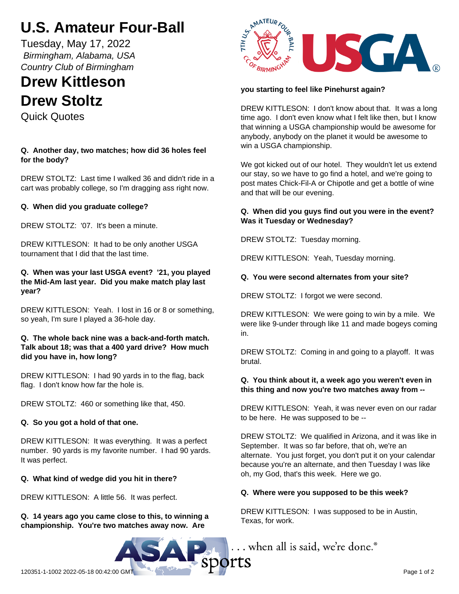# **U.S. Amateur Four-Ball**

Tuesday, May 17, 2022  *Birmingham, Alabama, USA Country Club of Birmingham*

# **Drew Kittleson Drew Stoltz**

Quick Quotes

# **Q. Another day, two matches; how did 36 holes feel for the body?**

DREW STOLTZ: Last time I walked 36 and didn't ride in a cart was probably college, so I'm dragging ass right now.

# **Q. When did you graduate college?**

DREW STOLTZ: '07. It's been a minute.

DREW KITTLESON: It had to be only another USGA tournament that I did that the last time.

## **Q. When was your last USGA event? '21, you played the Mid-Am last year. Did you make match play last year?**

DREW KITTLESON: Yeah. I lost in 16 or 8 or something, so yeah, I'm sure I played a 36-hole day.

## **Q. The whole back nine was a back-and-forth match. Talk about 18; was that a 400 yard drive? How much did you have in, how long?**

DREW KITTLESON: I had 90 yards in to the flag, back flag. I don't know how far the hole is.

DREW STOLTZ: 460 or something like that, 450.

# **Q. So you got a hold of that one.**

DREW KITTLESON: It was everything. It was a perfect number. 90 yards is my favorite number. I had 90 yards. It was perfect.

# **Q. What kind of wedge did you hit in there?**

DREW KITTLESON: A little 56. It was perfect.

**Q. 14 years ago you came close to this, to winning a championship. You're two matches away now. Are**



# **you starting to feel like Pinehurst again?**

DREW KITTLESON: I don't know about that. It was a long time ago. I don't even know what I felt like then, but I know that winning a USGA championship would be awesome for anybody, anybody on the planet it would be awesome to win a USGA championship.

We got kicked out of our hotel. They wouldn't let us extend our stay, so we have to go find a hotel, and we're going to post mates Chick-Fil-A or Chipotle and get a bottle of wine and that will be our evening.

# **Q. When did you guys find out you were in the event? Was it Tuesday or Wednesday?**

DREW STOLTZ: Tuesday morning.

DREW KITTLESON: Yeah, Tuesday morning.

# **Q. You were second alternates from your site?**

DREW STOLTZ: I forgot we were second.

DREW KITTLESON: We were going to win by a mile. We were like 9-under through like 11 and made bogeys coming in.

DREW STOLTZ: Coming in and going to a playoff. It was brutal.

## **Q. You think about it, a week ago you weren't even in this thing and now you're two matches away from --**

DREW KITTLESON: Yeah, it was never even on our radar to be here. He was supposed to be --

DREW STOLTZ: We qualified in Arizona, and it was like in September. It was so far before, that oh, we're an alternate. You just forget, you don't put it on your calendar because you're an alternate, and then Tuesday I was like oh, my God, that's this week. Here we go.

## **Q. Where were you supposed to be this week?**

DREW KITTLESON: I was supposed to be in Austin, Texas, for work.

 $\ldots$  when all is said, we're done. $^\circ$